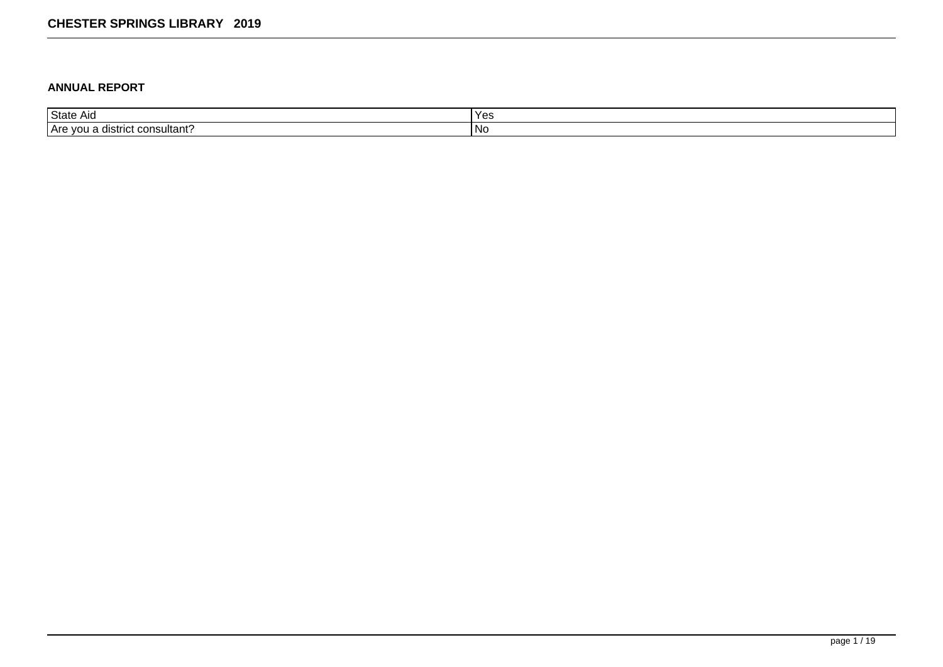#### **ANNUAL REPORT**

| <b>State</b>                          | $\mathbf{v}$ |
|---------------------------------------|--------------|
| AIO                                   | ט ש          |
| . consultant?<br>TAre you<br>listrict | טצוו         |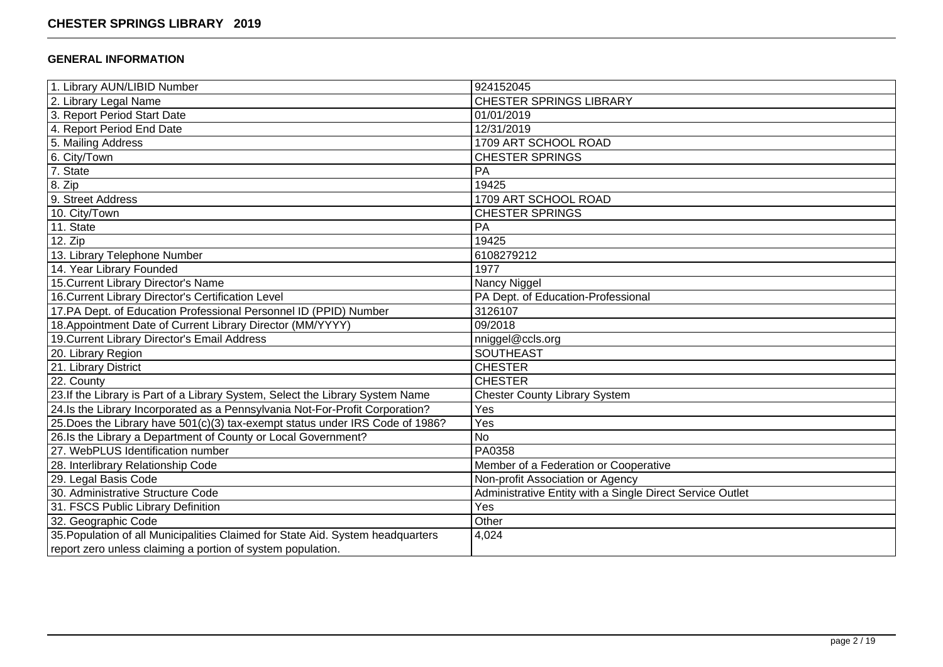### **GENERAL INFORMATION**

| 1. Library AUN/LIBID Number                                                     | 924152045                                                 |
|---------------------------------------------------------------------------------|-----------------------------------------------------------|
| 2. Library Legal Name                                                           | <b>CHESTER SPRINGS LIBRARY</b>                            |
| 3. Report Period Start Date                                                     | 01/01/2019                                                |
| 4. Report Period End Date                                                       | 12/31/2019                                                |
| 5. Mailing Address                                                              | 1709 ART SCHOOL ROAD                                      |
| 6. City/Town                                                                    | <b>CHESTER SPRINGS</b>                                    |
| 7. State                                                                        | PA                                                        |
| $8.$ Zip                                                                        | 19425                                                     |
| 9. Street Address                                                               | 1709 ART SCHOOL ROAD                                      |
| 10. City/Town                                                                   | <b>CHESTER SPRINGS</b>                                    |
| 11. State                                                                       | PA                                                        |
| 12. Zip                                                                         | 19425                                                     |
| 13. Library Telephone Number                                                    | 6108279212                                                |
| 14. Year Library Founded                                                        | 1977                                                      |
| 15. Current Library Director's Name                                             | Nancy Niggel                                              |
| 16. Current Library Director's Certification Level                              | PA Dept. of Education-Professional                        |
| 17.PA Dept. of Education Professional Personnel ID (PPID) Number                | 3126107                                                   |
| 18. Appointment Date of Current Library Director (MM/YYYY)                      | 09/2018                                                   |
| 19. Current Library Director's Email Address                                    | nniggel@ccls.org                                          |
| 20. Library Region                                                              | <b>SOUTHEAST</b>                                          |
| 21. Library District                                                            | <b>CHESTER</b>                                            |
| 22. County                                                                      | <b>CHESTER</b>                                            |
| 23. If the Library is Part of a Library System, Select the Library System Name  | <b>Chester County Library System</b>                      |
| 24. Is the Library Incorporated as a Pennsylvania Not-For-Profit Corporation?   | Yes                                                       |
| 25. Does the Library have 501(c)(3) tax-exempt status under IRS Code of 1986?   | Yes                                                       |
| 26.Is the Library a Department of County or Local Government?                   | <b>No</b>                                                 |
| 27. WebPLUS Identification number                                               | PA0358                                                    |
| 28. Interlibrary Relationship Code                                              | Member of a Federation or Cooperative                     |
| 29. Legal Basis Code                                                            | Non-profit Association or Agency                          |
| 30. Administrative Structure Code                                               | Administrative Entity with a Single Direct Service Outlet |
| 31. FSCS Public Library Definition                                              | Yes                                                       |
| 32. Geographic Code                                                             | Other                                                     |
| 35. Population of all Municipalities Claimed for State Aid. System headquarters | 4,024                                                     |
| report zero unless claiming a portion of system population.                     |                                                           |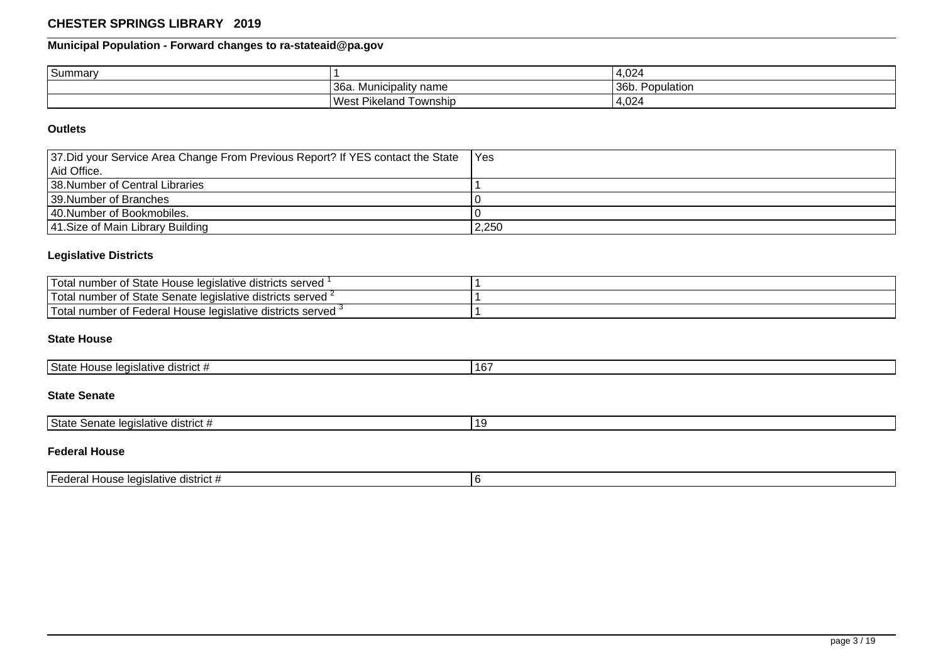# **Municipal Population - Forward changes to ra-stateaid@pa.gov**

| Summary |                                   | 4,024                                          |
|---------|-----------------------------------|------------------------------------------------|
|         | '36a.<br>' name<br>. Municipality | 36b.<br>$\overline{\phantom{0}}$<br>Population |
|         | <b>West Pikeland</b><br>Township  | 4,024                                          |

#### **Outlets**

| 37. Did your Service Area Change From Previous Report? If YES contact the State | TYes  |
|---------------------------------------------------------------------------------|-------|
| l Aid Office.                                                                   |       |
| 138. Number of Central Libraries                                                |       |
| 139. Number of Branches                                                         |       |
| 140. Number of Bookmobiles.                                                     |       |
| 41. Size of Main Library Building                                               | 2,250 |

### **Legislative Districts**

| 'Total<br>I number of State House legislative districts served '                 |  |
|----------------------------------------------------------------------------------|--|
| <b>Total</b><br>I number of State Senate legislative districts served $\epsilon$ |  |
| 'T∩tal<br>: Federal House legislative districts served<br>I number of            |  |

### **State House**

| ໍ່<br><sup>1</sup> State<br>district #<br>. House leaislative<br>.<br>16. |  |
|---------------------------------------------------------------------------|--|
|---------------------------------------------------------------------------|--|

## **State Senate**

| l State<br>legislative<br>district<br>Senate | 1 C |
|----------------------------------------------|-----|

### **Federal House**

| . .<br>district $#$<br>'Federai<br>l House leɑislative⊣ |  |
|---------------------------------------------------------|--|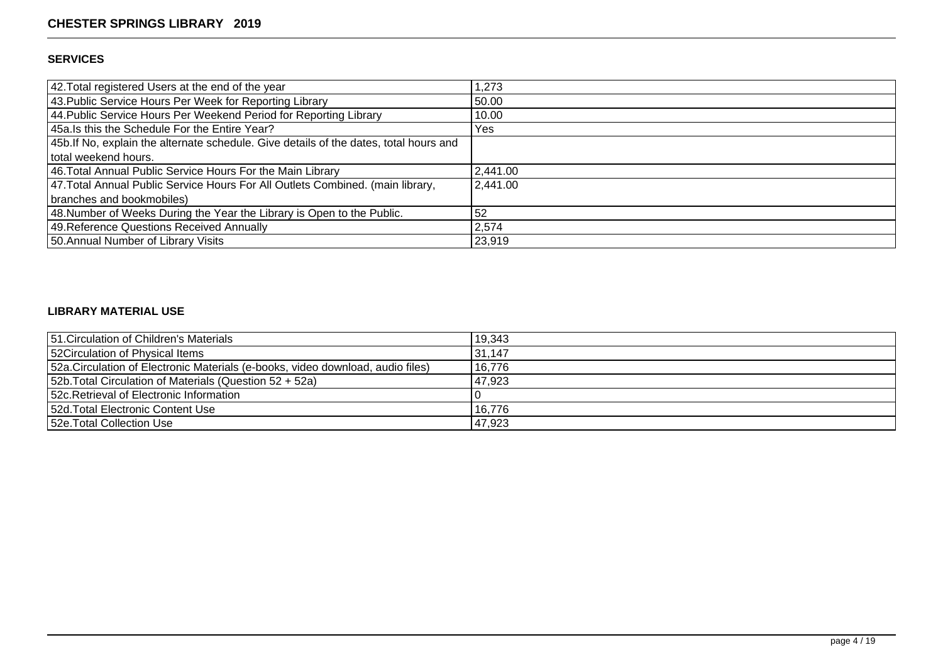### **SERVICES**

| 42. Total registered Users at the end of the year                                      | 1,273    |
|----------------------------------------------------------------------------------------|----------|
| 43. Public Service Hours Per Week for Reporting Library                                | 50.00    |
| 44. Public Service Hours Per Weekend Period for Reporting Library                      | 10.00    |
| 45a. Is this the Schedule For the Entire Year?                                         | Yes      |
| 45b. If No, explain the alternate schedule. Give details of the dates, total hours and |          |
| total weekend hours.                                                                   |          |
| 46. Total Annual Public Service Hours For the Main Library                             | 2,441.00 |
| 47. Total Annual Public Service Hours For All Outlets Combined. (main library,         | 2,441.00 |
| branches and bookmobiles)                                                              |          |
| 48. Number of Weeks During the Year the Library is Open to the Public.                 | 52       |
| 49. Reference Questions Received Annually                                              | 2,574    |
| 50. Annual Number of Library Visits                                                    | 23,919   |

## **LIBRARY MATERIAL USE**

| 51. Circulation of Children's Materials                                         | 19,343 |
|---------------------------------------------------------------------------------|--------|
| 52 Circulation of Physical Items                                                | 31,147 |
| 52a. Circulation of Electronic Materials (e-books, video download, audio files) | 16,776 |
| 52b. Total Circulation of Materials (Question 52 + 52a)                         | 47,923 |
| 152c. Retrieval of Electronic Information                                       |        |
| 152d. Total Electronic Content Use                                              | 16.776 |
| 152e. Total Collection Use                                                      | 47,923 |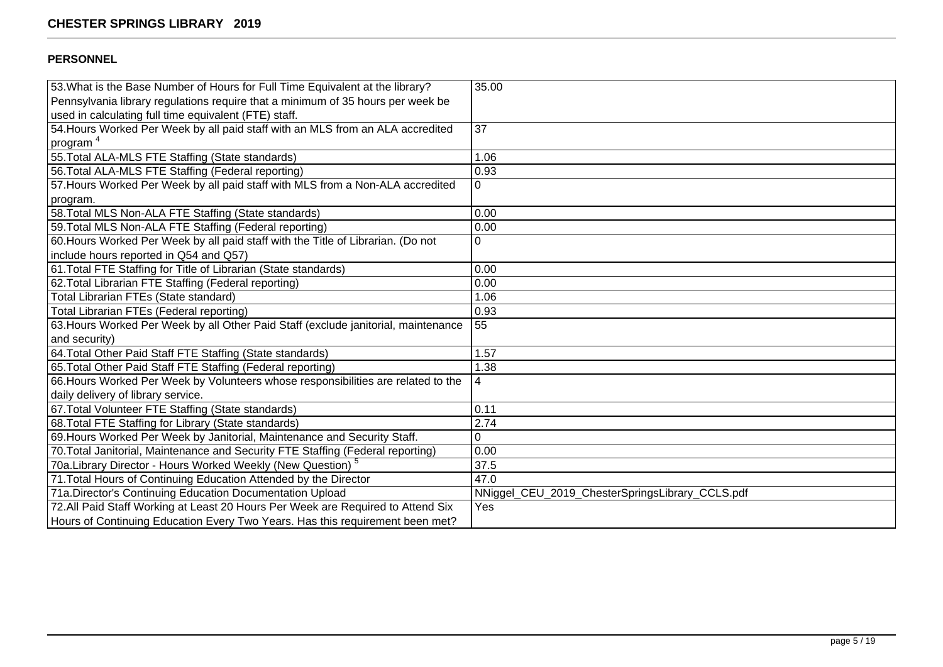### **PERSONNEL**

| 53. What is the Base Number of Hours for Full Time Equivalent at the library?      | 35.00                                           |
|------------------------------------------------------------------------------------|-------------------------------------------------|
| Pennsylvania library regulations require that a minimum of 35 hours per week be    |                                                 |
| used in calculating full time equivalent (FTE) staff.                              |                                                 |
| 54. Hours Worked Per Week by all paid staff with an MLS from an ALA accredited     | 37                                              |
| program <sup>4</sup>                                                               |                                                 |
| 55. Total ALA-MLS FTE Staffing (State standards)                                   | 1.06                                            |
| 56. Total ALA-MLS FTE Staffing (Federal reporting)                                 | 0.93                                            |
| 57. Hours Worked Per Week by all paid staff with MLS from a Non-ALA accredited     | 0                                               |
| program.                                                                           |                                                 |
| 58. Total MLS Non-ALA FTE Staffing (State standards)                               | 0.00                                            |
| 59. Total MLS Non-ALA FTE Staffing (Federal reporting)                             | 0.00                                            |
| 60. Hours Worked Per Week by all paid staff with the Title of Librarian. (Do not   | 0                                               |
| include hours reported in Q54 and Q57)                                             |                                                 |
| 61. Total FTE Staffing for Title of Librarian (State standards)                    | 0.00                                            |
| 62. Total Librarian FTE Staffing (Federal reporting)                               | 0.00                                            |
| Total Librarian FTEs (State standard)                                              | 1.06                                            |
| Total Librarian FTEs (Federal reporting)                                           | 0.93                                            |
| 63. Hours Worked Per Week by all Other Paid Staff (exclude janitorial, maintenance | 55                                              |
| and security)                                                                      |                                                 |
| 64. Total Other Paid Staff FTE Staffing (State standards)                          | 1.57                                            |
| 65. Total Other Paid Staff FTE Staffing (Federal reporting)                        | 1.38                                            |
| 66. Hours Worked Per Week by Volunteers whose responsibilities are related to the  | 4                                               |
| daily delivery of library service.                                                 |                                                 |
| 67. Total Volunteer FTE Staffing (State standards)                                 | 0.11                                            |
| 68. Total FTE Staffing for Library (State standards)                               | 2.74                                            |
| 69. Hours Worked Per Week by Janitorial, Maintenance and Security Staff.           | 0                                               |
| 70. Total Janitorial, Maintenance and Security FTE Staffing (Federal reporting)    | 0.00                                            |
| 70a. Library Director - Hours Worked Weekly (New Question) <sup>5</sup>            | 37.5                                            |
| 71. Total Hours of Continuing Education Attended by the Director                   | 47.0                                            |
| 71a. Director's Continuing Education Documentation Upload                          | NNiggel_CEU_2019_ChesterSpringsLibrary_CCLS.pdf |
| 72. All Paid Staff Working at Least 20 Hours Per Week are Required to Attend Six   | Yes                                             |
| Hours of Continuing Education Every Two Years. Has this requirement been met?      |                                                 |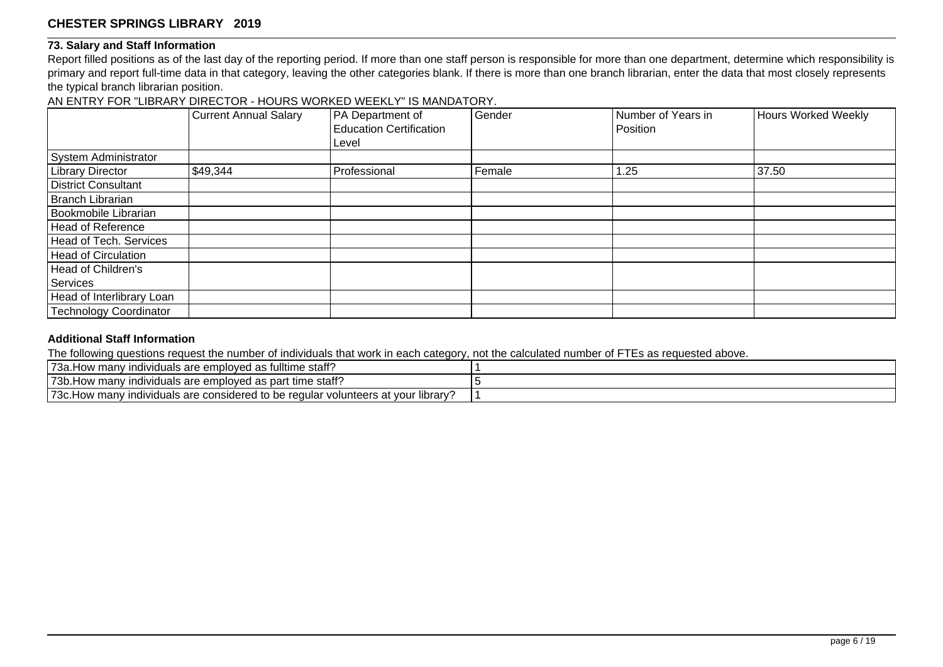#### **73. Salary and Staff Information**

Report filled positions as of the last day of the reporting period. If more than one staff person is responsible for more than one department, determine which responsibility is primary and report full-time data in that category, leaving the other categories blank. If there is more than one branch librarian, enter the data that most closely represents the typical branch librarian position.

AN ENTRY FOR "LIBRARY DIRECTOR - HOURS WORKED WEEKLY" IS MANDATORY.

|                               | <b>Current Annual Salary</b> | PA Department of<br><b>Education Certification</b> | Gender | Number of Years in<br>Position | Hours Worked Weekly |
|-------------------------------|------------------------------|----------------------------------------------------|--------|--------------------------------|---------------------|
|                               |                              | Level                                              |        |                                |                     |
| System Administrator          |                              |                                                    |        |                                |                     |
| <b>Library Director</b>       | \$49,344                     | Professional                                       | Female | 1.25                           | 37.50               |
| <b>District Consultant</b>    |                              |                                                    |        |                                |                     |
| Branch Librarian              |                              |                                                    |        |                                |                     |
| Bookmobile Librarian          |                              |                                                    |        |                                |                     |
| Head of Reference             |                              |                                                    |        |                                |                     |
| Head of Tech. Services        |                              |                                                    |        |                                |                     |
| Head of Circulation           |                              |                                                    |        |                                |                     |
| Head of Children's            |                              |                                                    |        |                                |                     |
| Services                      |                              |                                                    |        |                                |                     |
| Head of Interlibrary Loan     |                              |                                                    |        |                                |                     |
| <b>Technology Coordinator</b> |                              |                                                    |        |                                |                     |

### **Additional Staff Information**

The following questions request the number of individuals that work in each category, not the calculated number of FTEs as requested above.

| fulltime staff?<br>` <sup>7</sup> За<br><sup>,</sup> manv<br>Individuals are employed<br>10W<br>ົດຕ<br>as                          |  |
|------------------------------------------------------------------------------------------------------------------------------------|--|
| 73b.<br>c time staff?<br>' individuals are emploved as part<br>How many                                                            |  |
| 173c<br>vour library<br>considered to be<br>. regular<br>∴volunteers at v<br>≀ manv<br>indiy<br>viduals are c<br>ᅴᄉᅝ<br><b>IUW</b> |  |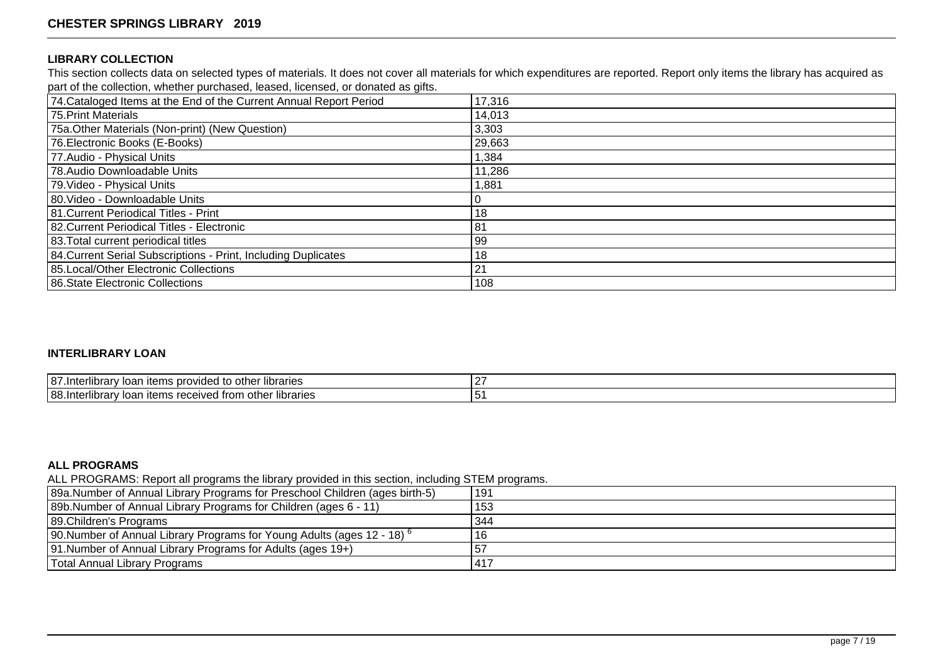#### **LIBRARY COLLECTION**

This section collects data on selected types of materials. It does not cover all materials for which expenditures are reported. Report only items the library has acquired as part of the collection, whether purchased, leased, licensed, or donated as gifts.

| 74. Cataloged Items at the End of the Current Annual Report Period | 17,316 |
|--------------------------------------------------------------------|--------|
| 75. Print Materials                                                | 14,013 |
| 75a. Other Materials (Non-print) (New Question)                    | 3,303  |
| 76. Electronic Books (E-Books)                                     | 29,663 |
| 77. Audio - Physical Units                                         | 1,384  |
| 78. Audio Downloadable Units                                       | 11,286 |
| 79. Video - Physical Units                                         | 1,881  |
| 80. Video - Downloadable Units                                     |        |
| 181. Current Periodical Titles - Print                             | 18     |
| 82. Current Periodical Titles - Electronic                         | 81     |
| 83. Total current periodical titles                                | 99     |
| 84. Current Serial Subscriptions - Print, Including Duplicates     | 18     |
| 85. Local/Other Electronic Collections                             | 21     |
| 86. State Electronic Collections                                   | 108    |

### **INTERLIBRARY LOAN**

| <br>187 <sup>°</sup><br>provided<br><b>Ibranes</b><br>ubrary:<br>$\sim$<br>" " other س<br><b>items</b><br>-Inte<br>iudi | $\sim$ |
|-------------------------------------------------------------------------------------------------------------------------|--------|
| 188<br>libraries<br>other<br>ubrary:<br>items received from<br>$-1$<br>∵ Int∆i<br>iudi                                  | ີ      |

#### **ALL PROGRAMS**

ALL PROGRAMS: Report all programs the library provided in this section, including STEM programs.

| 89a.Number of Annual Library Programs for Preschool Children (ages birth-5)         | 191 |
|-------------------------------------------------------------------------------------|-----|
| 89b. Number of Annual Library Programs for Children (ages 6 - 11)                   | 153 |
| 89. Children's Programs                                                             | 344 |
| 190. Number of Annual Library Programs for Young Adults (ages 12 - 18) <sup>6</sup> | 16  |
| 91. Number of Annual Library Programs for Adults (ages 19+)                         | 57  |
| Total Annual Library Programs                                                       | 417 |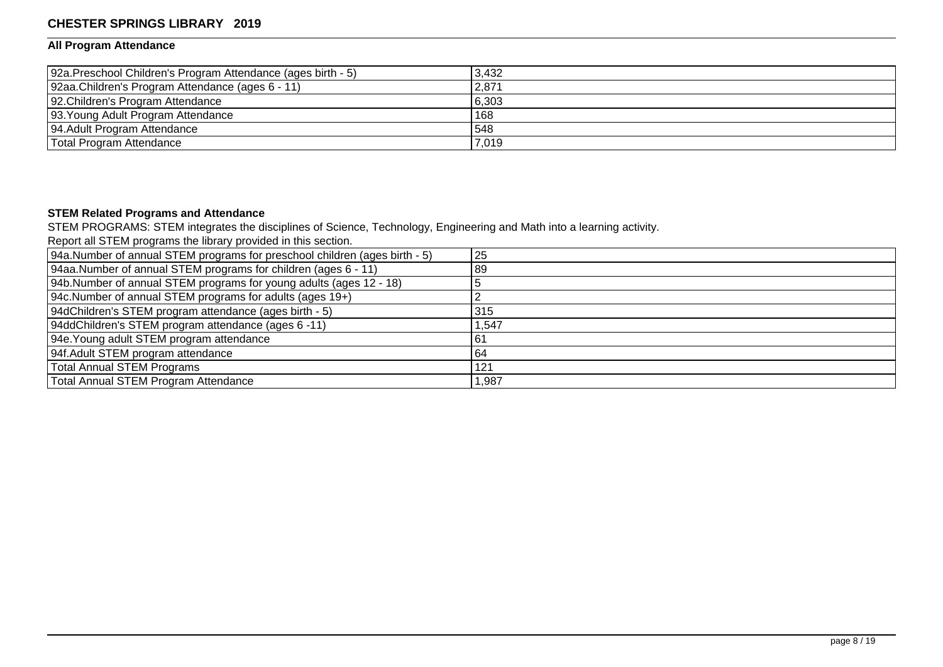### **All Program Attendance**

| 92a. Preschool Children's Program Attendance (ages birth - 5) | 3.432 |
|---------------------------------------------------------------|-------|
| 92aa.Children's Program Attendance (ages 6 - 11)              | 2,871 |
| 92. Children's Program Attendance                             | 6,303 |
| 93. Young Adult Program Attendance                            | 168   |
| 94. Adult Program Attendance                                  | 548   |
| Total Program Attendance                                      | 7,019 |

#### **STEM Related Programs and Attendance**

STEM PROGRAMS: STEM integrates the disciplines of Science, Technology, Engineering and Math into a learning activity.

Report all STEM programs the library provided in this section.

| 94a.Number of annual STEM programs for preschool children (ages birth - 5) | 25    |
|----------------------------------------------------------------------------|-------|
| [94aa.Number of annual STEM programs for children (ages 6 - 11)            | 89    |
| [94b. Number of annual STEM programs for young adults (ages 12 - 18)       |       |
| 94c. Number of annual STEM programs for adults (ages 19+)                  |       |
| 94dChildren's STEM program attendance (ages birth - 5)                     | 315   |
| 94ddChildren's STEM program attendance (ages 6 -11)                        | .547  |
| 94e. Young adult STEM program attendance                                   | 61    |
| 94f. Adult STEM program attendance                                         | 64    |
| Total Annual STEM Programs                                                 | 121   |
| Total Annual STEM Program Attendance                                       | 1,987 |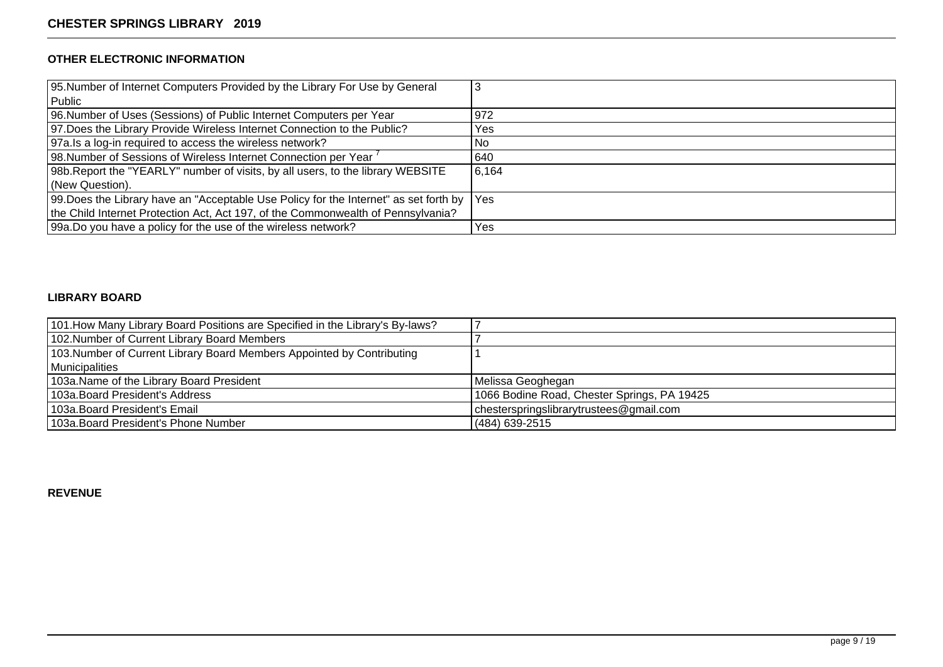## **OTHER ELECTRONIC INFORMATION**

| 95. Number of Internet Computers Provided by the Library For Use by General               |       |
|-------------------------------------------------------------------------------------------|-------|
| Public                                                                                    |       |
| 96. Number of Uses (Sessions) of Public Internet Computers per Year                       | 972   |
| 97. Does the Library Provide Wireless Internet Connection to the Public?                  | Yes   |
| 97a. Is a log-in required to access the wireless network?                                 | No    |
| 98.Number of Sessions of Wireless Internet Connection per Year <sup>7</sup>               | 640   |
| 98b. Report the "YEARLY" number of visits, by all users, to the library WEBSITE           | 6,164 |
| (New Question).                                                                           |       |
| 99. Does the Library have an "Acceptable Use Policy for the Internet" as set forth by Yes |       |
| the Child Internet Protection Act, Act 197, of the Commonwealth of Pennsylvania?          |       |
| 99a. Do you have a policy for the use of the wireless network?                            | Yes   |

#### **LIBRARY BOARD**

| 101. How Many Library Board Positions are Specified in the Library's By-laws? |                                             |
|-------------------------------------------------------------------------------|---------------------------------------------|
| 102. Number of Current Library Board Members                                  |                                             |
| 103. Number of Current Library Board Members Appointed by Contributing        |                                             |
| Municipalities                                                                |                                             |
| 103a. Name of the Library Board President                                     | Melissa Geoghegan                           |
| 103a. Board President's Address                                               | 1066 Bodine Road, Chester Springs, PA 19425 |
| 103a. Board President's Email                                                 | chesterspringslibrarytrustees@gmail.com     |
| 103a. Board President's Phone Number                                          | (484) 639-2515                              |

**REVENUE**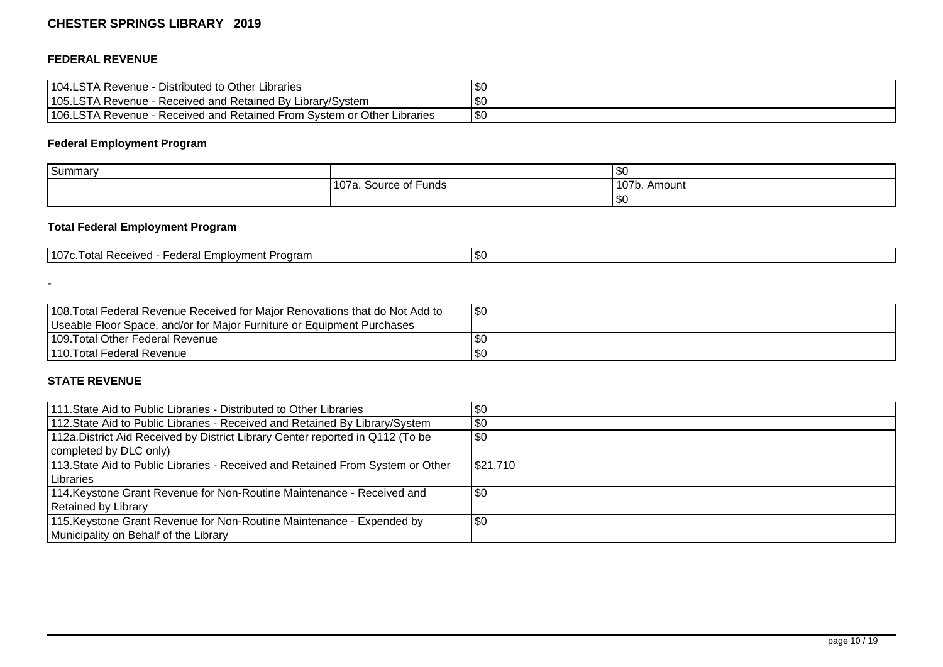## **FEDERAL REVENUE**

| 104.LSTA Revenue<br>- Distributed to Other Libraries                                | ູ        |
|-------------------------------------------------------------------------------------|----------|
| 105.LSTA Revenue<br>E-Received and Retained By Library/System                       | m,<br>æС |
| 106.LSTA Revenue -<br>. - Received and Retained From System or Other L<br>Libraries | \$0      |

# **Federal Employment Program**

| Summary |                                                       | ФU           |
|---------|-------------------------------------------------------|--------------|
|         | —<br>107a.<br>Source.<br>⊏unds<br>$-1$<br>. ovuruc vr | 107b. Amount |
|         |                                                       | งเ           |

# **Total Federal Employment Program**

| 1107c<br>$\sim$<br>. Program<br>-mnl∩vment<br>ا م+م ا<br>. LANAMI '<br>. Racawar<br>ж.<br><b>RECEIVEL</b><br>$1 \cup 11$<br>GUGI GI 1<br> |  |
|-------------------------------------------------------------------------------------------------------------------------------------------|--|
|-------------------------------------------------------------------------------------------------------------------------------------------|--|

| 108. Total Federal Revenue Received for Major Renovations that do Not Add to | $\sqrt{30}$ |
|------------------------------------------------------------------------------|-------------|
| Useable Floor Space, and/or for Major Furniture or Equipment Purchases       |             |
| 109. Total Other Federal Revenue                                             | -SC         |
| 1110. Total Federal Revenue                                                  | -SC         |

# **STATE REVENUE**

**-**

| 1111. State Aid to Public Libraries - Distributed to Other Libraries            | \$0      |
|---------------------------------------------------------------------------------|----------|
| 112. State Aid to Public Libraries - Received and Retained By Library/System    | $\$0$    |
| 112a. District Aid Received by District Library Center reported in Q112 (To be  | \$0      |
| completed by DLC only)                                                          |          |
| 113. State Aid to Public Libraries - Received and Retained From System or Other | \$21,710 |
| Libraries                                                                       |          |
| 114. Keystone Grant Revenue for Non-Routine Maintenance - Received and          | 1\$0     |
| Retained by Library                                                             |          |
| 115. Keystone Grant Revenue for Non-Routine Maintenance - Expended by           | 1\$0     |
| Municipality on Behalf of the Library                                           |          |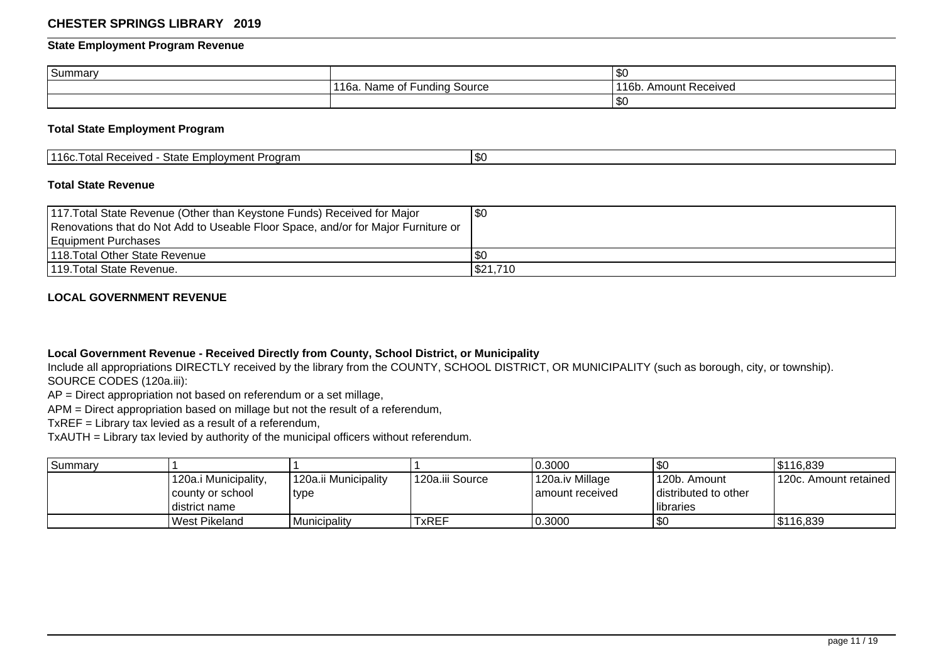#### **State Employment Program Revenue**

| Summary |                                                                        | \$0                                          |
|---------|------------------------------------------------------------------------|----------------------------------------------|
|         | . .<br>س Fundine<br>Source<br>- 4 L -<br>Name<br>ี่ ี่<br>l Od<br>- 11 | $\overline{AB}$<br>. Amount Received<br>16b. |
|         |                                                                        | $\frac{1}{3}$                                |

#### **Total State Employment Program**

| '116c<br>$C+$<br>Employment<br>Prooram<br>l otal Received<br>⊃iale<br>w |  |
|-------------------------------------------------------------------------|--|
|-------------------------------------------------------------------------|--|

#### **Total State Revenue**

| 117. Total State Revenue (Other than Keystone Funds) Received for Major<br>Renovations that do Not Add to Useable Floor Space, and/or for Major Furniture or | <b>\$0</b> |
|--------------------------------------------------------------------------------------------------------------------------------------------------------------|------------|
| Equipment Purchases                                                                                                                                          |            |
| 1118. Total Other State Revenue                                                                                                                              | I SO       |
| 1119. Total State Revenue.                                                                                                                                   | \$21,710   |

#### **LOCAL GOVERNMENT REVENUE**

#### **Local Government Revenue - Received Directly from County, School District, or Municipality**

Include all appropriations DIRECTLY received by the library from the COUNTY, SCHOOL DISTRICT, OR MUNICIPALITY (such as borough, city, or township). SOURCE CODES (120a.iii):

AP = Direct appropriation not based on referendum or a set millage,

APM = Direct appropriation based on millage but not the result of a referendum,

TxREF = Library tax levied as a result of a referendum,

TxAUTH = Library tax levied by authority of the municipal officers without referendum.

| <b>Summarv</b> |                      |                      |                 | 0.3000            | \$0                  | 5116,839                |
|----------------|----------------------|----------------------|-----------------|-------------------|----------------------|-------------------------|
|                | 120a.i Municipality, | 120a.ii Municipality | 120a.iii Source | 120a.iv Millage   | l 120b. Amount       | l 120c. Amount retained |
|                | l countv or school   | type                 |                 | I amount received | distributed to other |                         |
|                | ı district name      |                      |                 |                   | <b>Ilibraries</b>    |                         |
|                | West Pikeland        | Municipality         | TxREF           | 0.3000            | \$0                  | \$116,839               |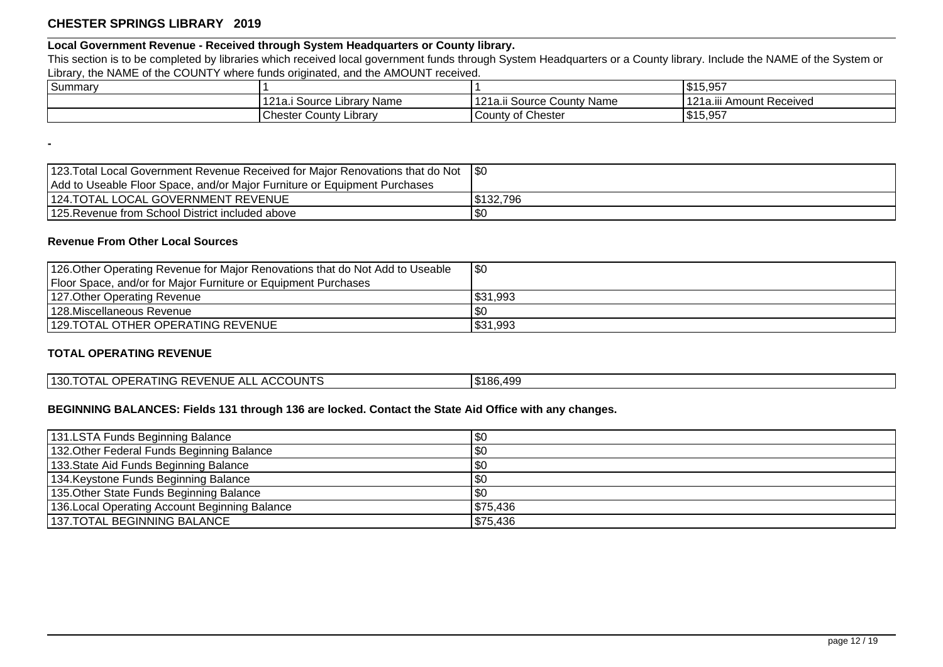# **Local Government Revenue - Received through System Headquarters or County library.**

This section is to be completed by libraries which received local government funds through System Headquarters or a County library. Include the NAME of the System or Library, the NAME of the COUNTY where funds originated, and the AMOUNT received.

| $\overline{\phantom{0}}$<br>Summary |                                                     |                                              | $\sqrt{150.25}$<br>ו טכוטו ש  |
|-------------------------------------|-----------------------------------------------------|----------------------------------------------|-------------------------------|
|                                     | 1010<br><sup>,</sup> Name<br>. Source ⊑<br>Librar : | 1010<br>: County Name<br>Source<br>12 1 a.II | 121a.iii<br>i Amount Received |
|                                     | .<br><b>Chester County</b><br>Library               | v of Chester<br>County                       | $.$ $$15.057$<br>ו טכוטו ש    |

| 123. Total Local Government Revenue Received for Major Renovations that do Not \$0 |           |
|------------------------------------------------------------------------------------|-----------|
| Add to Useable Floor Space, and/or Major Furniture or Equipment Purchases          |           |
| 124. TOTAL LOCAL GOVERNMENT REVENUE                                                | \$132.796 |
| 125. Revenue from School District included above                                   |           |

### **Revenue From Other Local Sources**

**-**

| 126. Other Operating Revenue for Major Renovations that do Not Add to Useable | \$0       |
|-------------------------------------------------------------------------------|-----------|
| Floor Space, and/or for Major Furniture or Equipment Purchases                |           |
| 127. Other Operating Revenue                                                  | 531,993   |
| 128. Miscellaneous Revenue                                                    | <b>SC</b> |
| 129.TOTAL OTHER OPERATING REVENUE                                             | \$31,993  |

## **TOTAL OPERATING REVENUE**

| 130. TOTAL OPERATING REVENUE ALL ACCOUNTS | \$186,499 |
|-------------------------------------------|-----------|
|                                           |           |

#### **BEGINNING BALANCES: Fields 131 through 136 are locked. Contact the State Aid Office with any changes.**

| 131.LSTA Funds Beginning Balance               | \$0        |
|------------------------------------------------|------------|
| 132. Other Federal Funds Beginning Balance     | \$0        |
| 133. State Aid Funds Beginning Balance         | \$0        |
| 134. Keystone Funds Beginning Balance          | \$0        |
| 135. Other State Funds Beginning Balance       | <b>\$0</b> |
| 136. Local Operating Account Beginning Balance | \$75,436   |
| 137.TOTAL BEGINNING BALANCE                    | \$75,436   |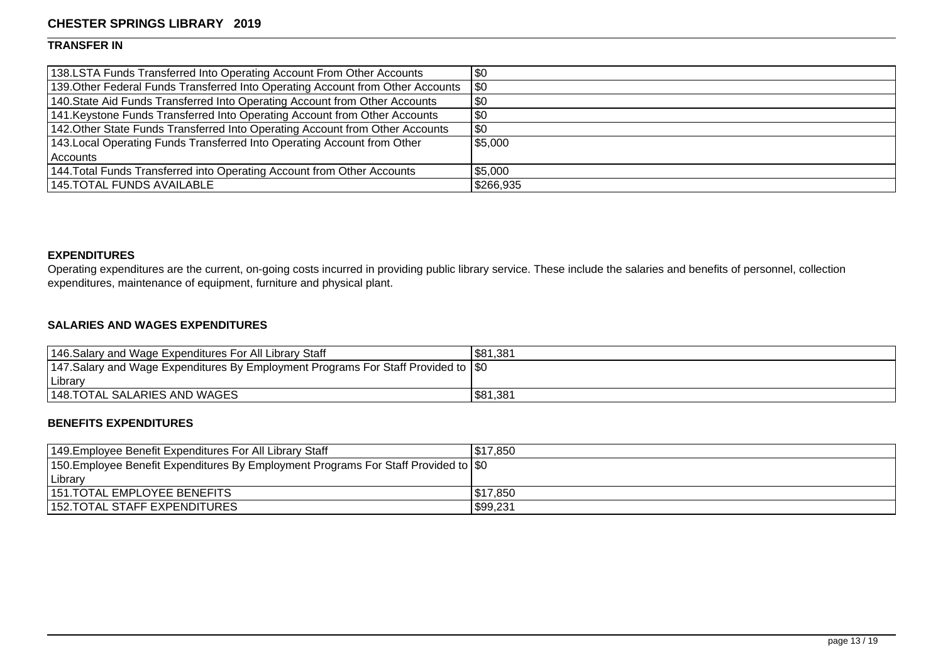### **TRANSFER IN**

| 138.LSTA Funds Transferred Into Operating Account From Other Accounts           | \$0         |
|---------------------------------------------------------------------------------|-------------|
| 139. Other Federal Funds Transferred Into Operating Account from Other Accounts | $\sqrt{50}$ |
| 140. State Aid Funds Transferred Into Operating Account from Other Accounts     | $ $ \$0     |
| 141. Keystone Funds Transferred Into Operating Account from Other Accounts      | \$0         |
| 142. Other State Funds Transferred Into Operating Account from Other Accounts   | \$0         |
| 143. Local Operating Funds Transferred Into Operating Account from Other        | \$5,000     |
| l Accounts                                                                      |             |
| 144. Total Funds Transferred into Operating Account from Other Accounts         | \$5,000     |
| 145.TOTAL FUNDS AVAILABLE                                                       | \$266,935   |

# **EXPENDITURES**

Operating expenditures are the current, on-going costs incurred in providing public library service. These include the salaries and benefits of personnel, collection expenditures, maintenance of equipment, furniture and physical plant.

## **SALARIES AND WAGES EXPENDITURES**

| 146. Salary and Wage Expenditures For All Library Staff                                    | \$81,381 |
|--------------------------------------------------------------------------------------------|----------|
| 147. Salary and Wage Expenditures By Employment Programs For Staff Provided to $\vert \$0$ |          |
| Library                                                                                    |          |
| 148. TOTAL SALARIES AND WAGES                                                              | \$81,381 |

# **BENEFITS EXPENDITURES**

| 149. Employee Benefit Expenditures For All Library Staff                                    | \$17,850 |
|---------------------------------------------------------------------------------------------|----------|
| 150. Employee Benefit Expenditures By Employment Programs For Staff Provided to $\vert \$0$ |          |
| Library                                                                                     |          |
| 1151.TOTAL EMPLOYEE BENEFITS                                                                | 517,850  |
| 152.TOTAL STAFF EXPENDITURES                                                                | \$99,231 |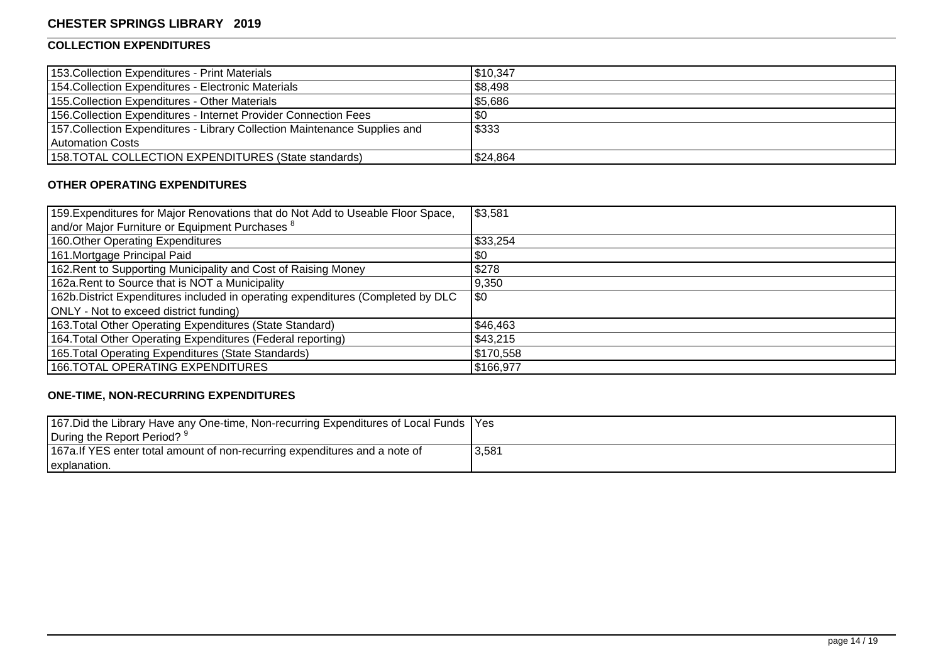# **COLLECTION EXPENDITURES**

| 153. Collection Expenditures - Print Materials                             | \$10,347 |
|----------------------------------------------------------------------------|----------|
| 154. Collection Expenditures - Electronic Materials                        | \$8,498  |
| 155. Collection Expenditures - Other Materials                             | \$5,686  |
| 156. Collection Expenditures - Internet Provider Connection Fees           | \$0      |
| 157. Collection Expenditures - Library Collection Maintenance Supplies and | \$333    |
| Automation Costs                                                           |          |
| 158.TOTAL COLLECTION EXPENDITURES (State standards)                        | \$24,864 |

#### **OTHER OPERATING EXPENDITURES**

| 159. Expenditures for Major Renovations that do Not Add to Useable Floor Space,  | \$3,581   |
|----------------------------------------------------------------------------------|-----------|
| and/or Major Furniture or Equipment Purchases <sup>8</sup>                       |           |
| 160. Other Operating Expenditures                                                | \$33,254  |
| 161. Mortgage Principal Paid                                                     | \$0       |
| 162. Rent to Supporting Municipality and Cost of Raising Money                   | \$278     |
| 162a. Rent to Source that is NOT a Municipality                                  | 9,350     |
| 162b. District Expenditures included in operating expenditures (Completed by DLC | <b>SO</b> |
| ONLY - Not to exceed district funding)                                           |           |
| 163. Total Other Operating Expenditures (State Standard)                         | \$46,463  |
| 164. Total Other Operating Expenditures (Federal reporting)                      | \$43,215  |
| 165. Total Operating Expenditures (State Standards)                              | \$170,558 |
| <b>166.TOTAL OPERATING EXPENDITURES</b>                                          | \$166,977 |

# **ONE-TIME, NON-RECURRING EXPENDITURES**

| 167. Did the Library Have any One-time, Non-recurring Expenditures of Local Funds   Yes |       |
|-----------------------------------------------------------------------------------------|-------|
| During the Report Period? 9                                                             |       |
| 167a. If YES enter total amount of non-recurring expenditures and a note of             | 3,581 |
| explanation.                                                                            |       |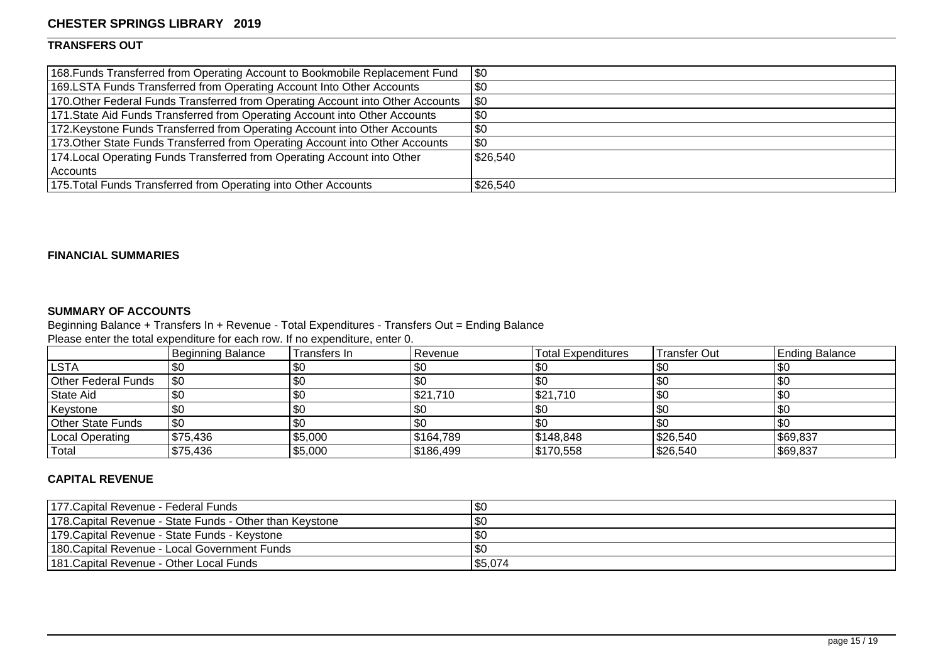# **TRANSFERS OUT**

| 168. Funds Transferred from Operating Account to Bookmobile Replacement Fund    | \$0       |
|---------------------------------------------------------------------------------|-----------|
| 169.LSTA Funds Transferred from Operating Account Into Other Accounts           | \$0       |
| 170. Other Federal Funds Transferred from Operating Account into Other Accounts | <b>SO</b> |
| 171. State Aid Funds Transferred from Operating Account into Other Accounts     | \$0       |
| 172. Keystone Funds Transferred from Operating Account into Other Accounts      | \$0       |
| 173. Other State Funds Transferred from Operating Account into Other Accounts   | \$0       |
| 174. Local Operating Funds Transferred from Operating Account into Other        | \$26,540  |
| l Accounts                                                                      |           |
| 175. Total Funds Transferred from Operating into Other Accounts                 | \$26,540  |

### **FINANCIAL SUMMARIES**

### **SUMMARY OF ACCOUNTS**

Beginning Balance + Transfers In + Revenue - Total Expenditures - Transfers Out = Ending Balance

Please enter the total expenditure for each row. If no expenditure, enter 0.

|                            | Beginning Balance | Transfers In | Revenue   | Total Expenditures | Transfer Out | <b>Ending Balance</b> |
|----------------------------|-------------------|--------------|-----------|--------------------|--------------|-----------------------|
| <b>LSTA</b>                |                   | \$0          |           | \$0                | \$0          |                       |
| <b>Other Federal Funds</b> | 1\$0              | \$0          |           |                    | \$0          |                       |
| State Aid                  |                   | 1\$0         | \$21,710  | \$21,710           | $ $ \$0      |                       |
| Keystone                   |                   | \$0          | ັ⊍ບ       | \$0                | \$0          |                       |
| Other State Funds          | <b>SO</b>         | \$0          |           | \$0                | \$0          |                       |
| Local Operating            | \$75,436          | \$5,000      | \$164,789 | \$148,848          | \$26,540     | \$69,837              |
| Total                      | \$75,436          | \$5,000      | \$186,499 | \$170,558          | \$26,540     | \$69,837              |

## **CAPITAL REVENUE**

| 177. Capital Revenue - Federal Funds                      | 1\$0    |
|-----------------------------------------------------------|---------|
| 1178. Capital Revenue - State Funds - Other than Keystone | 1\$0    |
| 179. Capital Revenue - State Funds - Keystone             | \$0     |
| 1180. Capital Revenue - Local Government Funds            | \$0     |
| 1181. Capital Revenue - Other Local Funds                 | \$5,074 |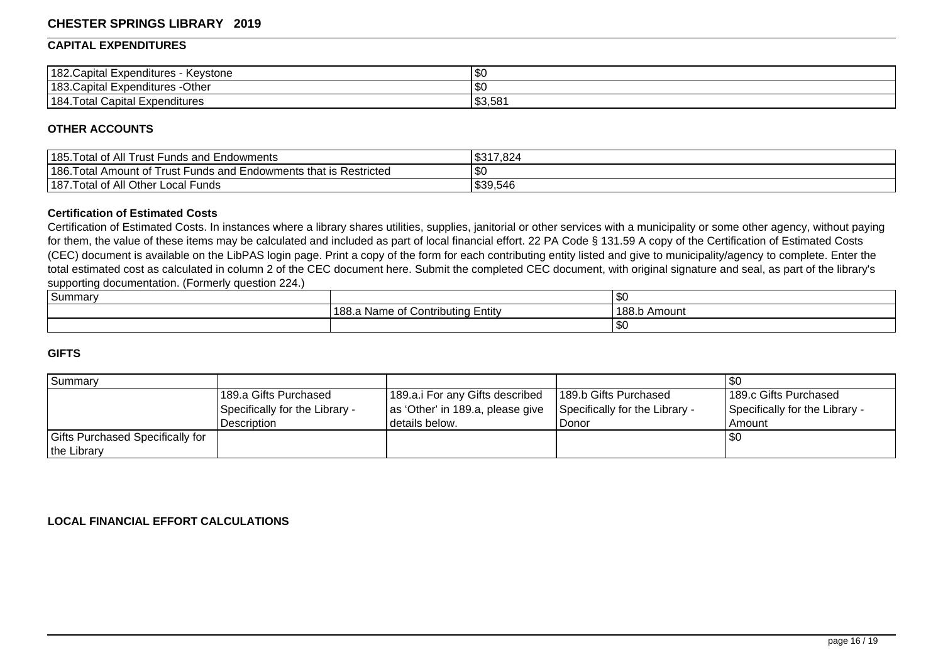#### **CAPITAL EXPENDITURES**

| 182. Capital Expenditures<br>Kevstone<br>nev. | <b>\$0</b> |
|-----------------------------------------------|------------|
| $183$ . Capital E<br>Othe<br>. Expenditures - | l \$0      |
| 184.<br>otal<br>Capital<br>Expenditures       | \$3,581    |

#### **OTHER ACCOUNTS**

| $185.$ <sup>T</sup><br>of All<br>otal<br>I Trust Funds and Endowments                          | \$317,824<br>৩৩          |
|------------------------------------------------------------------------------------------------|--------------------------|
| $186.$ <sup>T</sup><br>Funds and Endowments that is Restricted<br>Amount of<br>∣ota<br>∣rust l | æ.<br>ึง∪                |
| l of All Other<br>$1187.$ <sup>T</sup><br>Local<br>'−unds<br>ota                               | $-10$<br>ົດດ<br>\$39.546 |

#### **Certification of Estimated Costs**

Certification of Estimated Costs. In instances where a library shares utilities, supplies, janitorial or other services with a municipality or some other agency, without paying for them, the value of these items may be calculated and included as part of local financial effort. 22 PA Code § 131.59 A copy of the Certification of Estimated Costs (CEC) document is available on the LibPAS login page. Print a copy of the form for each contributing entity listed and give to municipality/agency to complete. Enter the total estimated cost as calculated in column 2 of the CEC document here. Submit the completed CEC document, with original signature and seal, as part of the library's supporting documentation. (Formerly question 224.)

| $\sim$<br>Summary |                                                        | ູ            |
|-------------------|--------------------------------------------------------|--------------|
|                   | $\sqrt{2}$<br>Contributing Entity<br>l 188.a Name of t | 188.b Amount |
|                   |                                                        | w            |

#### **GIFTS**

| l Summarv                               |                                |                                  |                                |                                |
|-----------------------------------------|--------------------------------|----------------------------------|--------------------------------|--------------------------------|
|                                         | 189.a Gifts Purchased          | 189.a.i For any Gifts described  | 189.b Gifts Purchased          | 189.c Gifts Purchased          |
|                                         | Specifically for the Library - | as 'Other' in 189.a, please give | Specifically for the Library - | Specifically for the Library - |
|                                         | Description                    | l details below.                 | Donor                          | Amount                         |
| <b>Gifts Purchased Specifically for</b> |                                |                                  |                                | 1\$C                           |
| the Library                             |                                |                                  |                                |                                |

#### **LOCAL FINANCIAL EFFORT CALCULATIONS**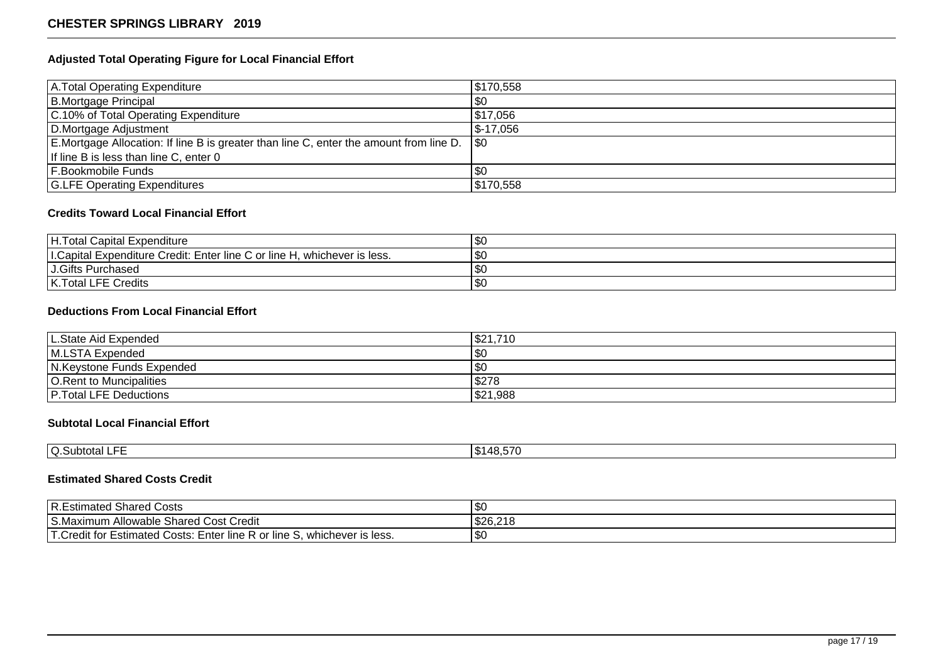### **Adjusted Total Operating Figure for Local Financial Effort**

| A. Total Operating Expenditure                                                         | \$170,558   |
|----------------------------------------------------------------------------------------|-------------|
| B.Mortgage Principal                                                                   | $\sqrt{30}$ |
| C.10% of Total Operating Expenditure                                                   | \$17,056    |
| D.Mortgage Adjustment                                                                  | 5-17.056.   |
| E.Mortgage Allocation: If line B is greater than line C, enter the amount from line D. | <b>SO</b>   |
| If line B is less than line C, enter 0                                                 |             |
| <b>F.Bookmobile Funds</b>                                                              | \$0         |
| <b>G.LFE Operating Expenditures</b>                                                    | \$170,558   |

#### **Credits Toward Local Financial Effort**

| H. Total Capital Expenditure                                                  | ∣v∪           |
|-------------------------------------------------------------------------------|---------------|
| L.Capital Expenditure Credit: Enter line C or line H,<br>. whichever is less. | œ7<br>ن دان ا |
| J.Gifts Purchased                                                             | ا ت           |
| K. Total LFE Credits                                                          | $\sim$<br>৩∪  |

# **Deductions From Local Financial Effort**

| L.State Aid Expended           | .710<br>ا \$21 |
|--------------------------------|----------------|
| M.LSTA Expended                | l \$0          |
| N.Keystone Funds Expended      | l \$0          |
| <b>O.Rent to Muncipalities</b> | \$278          |
| <b>P. Total LFE Deductions</b> | \$21,988       |

# **Subtotal Local Financial Effort**

| ___<br>' ~<br>IQ.Subtotal<br>. . | 148,57″ه |
|----------------------------------|----------|

## **Estimated Shared Costs Credit**

| R.Estimated Shared Costs                                                             | m c<br>æС |
|--------------------------------------------------------------------------------------|-----------|
| S.Maximum Allowable Shared Cost Credit                                               | \$26,218  |
| T.Credit for Estimated Costs: E<br>. Enter line R<br>R or line S, whichever is less. | \$0       |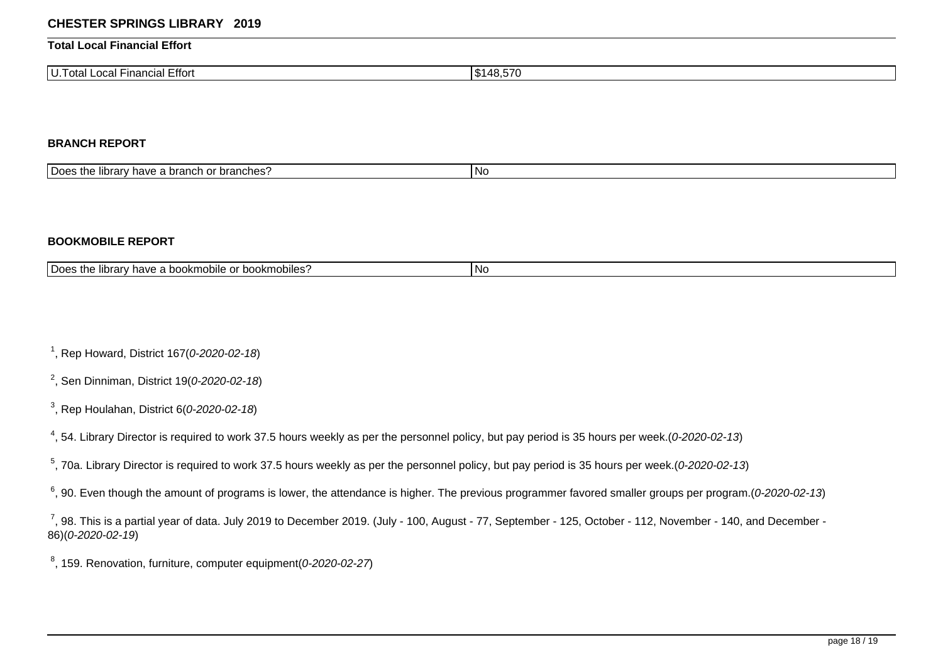#### **Total Local Financial Effort**

| I Financial Effort<br>nt<br>$\sim$<br>–∪ua⊨−<br>uldi | \$148,570 |
|------------------------------------------------------|-----------|

#### **BRANCH REPORT**

| <b>IDoes</b><br>ches <sup>.</sup><br>. hranch<br>$I$ introni<br>ר המורח<br>. bran<br>$\cdot$ True<br>⊓av<br>⇒ ilDIa⊵<br>ำ แ⊾<br><b>FILL</b><br>а ию | l Nc |
|-----------------------------------------------------------------------------------------------------------------------------------------------------|------|

#### **BOOKMOBILE REPORT**

| <b>IDoes</b><br>. .<br><b>bookm</b><br>obiles'<br>$I$ introni<br><sup>'</sup> have a<br><b>UMANILA</b><br>.<br><br>~<br>∠ iiDidi⊻<br>ີ U ເ<br>.<br>.<br>. | l No |
|-----------------------------------------------------------------------------------------------------------------------------------------------------------|------|
|-----------------------------------------------------------------------------------------------------------------------------------------------------------|------|

<sup>1</sup>, Rep Howard, District 167(0-2020-02-18)

<sup>2</sup>, Sen Dinniman, District 19(0-2020-02-18)

 $^3$ , Rep Houlahan, District 6(0-2020-02-18)

 $^4$ , 54. Library Director is required to work 37.5 hours weekly as per the personnel policy, but pay period is 35 hours per week.(0-2020-02-13)

 $5$ , 70a. Library Director is required to work 37.5 hours weekly as per the personnel policy, but pay period is 35 hours per week.(0-2020-02-13)

 $^6$ , 90. Even though the amount of programs is lower, the attendance is higher. The previous programmer favored smaller groups per program.(0-2020-02-13)

 $^7$ , 98. This is a partial year of data. July 2019 to December 2019. (July - 100, August - 77, September - 125, October - 112, November - 140, and December -86)(0-2020-02-19)

 $^8$ , 159. Renovation, furniture, computer equipment(0-2020-02-27)